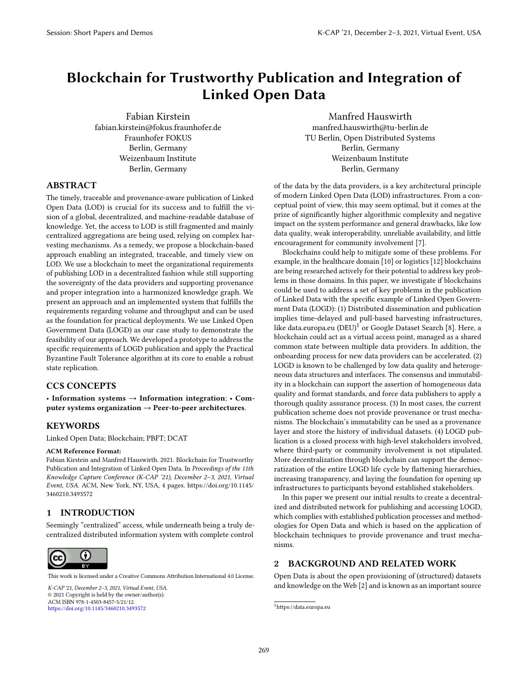# Blockchain for Trustworthy Publication and Integration of Linked Open Data

[Fabian Kirstein](https://orcid.org/1234-5678-9012) fabian.kirstein@fokus.fraunhofer.de Fraunhofer FOKUS Berlin, Germany Weizenbaum Institute Berlin, Germany

[Manfred Hauswirth](https://orcid.org/0000-0002-1839-0372) manfred.hauswirth@tu-berlin.de TU Berlin, Open Distributed Systems Berlin, Germany Weizenbaum Institute Berlin, Germany

# ABSTRACT

The timely, traceable and provenance-aware publication of Linked Open Data (LOD) is crucial for its success and to fulfill the vision of a global, decentralized, and machine-readable database of knowledge. Yet, the access to LOD is still fragmented and mainly centralized aggregations are being used, relying on complex harvesting mechanisms. As a remedy, we propose a blockchain-based approach enabling an integrated, traceable, and timely view on LOD. We use a blockchain to meet the organizational requirements of publishing LOD in a decentralized fashion while still supporting the sovereignty of the data providers and supporting provenance and proper integration into a harmonized knowledge graph. We present an approach and an implemented system that fulfills the requirements regarding volume and throughput and can be used as the foundation for practical deployments. We use Linked Open Government Data (LOGD) as our case study to demonstrate the feasibility of our approach. We developed a prototype to address the specific requirements of LOGD publication and apply the Practical Byzantine Fault Tolerance algorithm at its core to enable a robust state replication.

## CCS CONCEPTS

• Information systems  $\rightarrow$  Information integration; • Computer systems organization  $\rightarrow$  Peer-to-peer architectures.

#### **KEYWORDS**

Linked Open Data; Blockchain; PBFT; DCAT

#### ACM Reference Format:

Fabian Kirstein and Manfred Hauswirth. 2021. Blockchain for Trustworthy Publication and Integration of Linked Open Data. In Proceedings of the 11th Knowledge Capture Conference (K-CAP '21), December 2–3, 2021, Virtual Event, USA. ACM, New York, NY, USA, [4](#page-3-0) pages. [https://doi.org/10.1145/](https://doi.org/10.1145/3460210.3493572) [3460210.3493572](https://doi.org/10.1145/3460210.3493572)

## 1 INTRODUCTION

Seemingly "centralized" access, while underneath being a truly decentralized distributed information system with complete control



This work is licensed under a Creative Commons Attribution International 4.0 License.

K-CAP '21, December 2–3, 2021, Virtual Event, USA *K-CAP '21, December 2–3, 2021, Virtual Event, USA.* © 2021 Copyright is held by the owner/author(s). ACM ISBN 978-1-4503-8457-5/21/12. ACM ISBN 978-1-4503-8457-5/21/12. <https://doi.org/10.1145/3460210.3493572> https://doi.org/10.1145/3460210.3493572

of the data by the data providers, is a key architectural principle of modern Linked Open Data (LOD) infrastructures. From a conceptual point of view, this may seem optimal, but it comes at the prize of significantly higher algorithmic complexity and negative impact on the system performance and general drawbacks, like low data quality, weak interoperability, unreliable availability, and little encouragement for community involvement [\[7\]](#page-3-1).

Blockchains could help to mitigate some of these problems. For example, in the healthcare domain [\[10\]](#page-3-2) or logistics [\[12\]](#page-3-3) blockchains are being researched actively for their potential to address key problems in those domains. In this paper, we investigate if blockchains could be used to address a set of key problems in the publication of Linked Data with the specific example of Linked Open Government Data (LOGD): (1) Distributed dissemination and publication implies time-delayed and pull-based harvesting infrastructures, like data.europa.eu (DEU)<sup>[1](#page-0-0)</sup> or Google Dataset Search [\[8\]](#page-3-4). Here, a blockchain could act as a virtual access point, managed as a shared common state between multiple data providers. In addition, the onboarding process for new data providers can be accelerated. (2) LOGD is known to be challenged by low data quality and heterogeneous data structures and interfaces. The consensus and immutability in a blockchain can support the assertion of homogeneous data quality and format standards, and force data publishers to apply a thorough quality assurance process. (3) In most cases, the current publication scheme does not provide provenance or trust mechanisms. The blockchain's immutability can be used as a provenance layer and store the history of individual datasets. (4) LOGD publication is a closed process with high-level stakeholders involved, where third-party or community involvement is not stipulated. More decentralization through blockchain can support the democratization of the entire LOGD life cycle by flattening hierarchies, increasing transparency, and laying the foundation for opening up infrastructures to participants beyond established stakeholders.

In this paper we present our initial results to create a decentralized and distributed network for publishing and accessing LOGD, which complies with established publication processes and methodologies for Open Data and which is based on the application of blockchain techniques to provide provenance and trust mechanisms.

## <span id="page-0-1"></span>2 BACKGROUND AND RELATED WORK

Open Data is about the open provisioning of (structured) datasets and knowledge on the Web [\[2\]](#page-3-5) and is known as an important source

<span id="page-0-0"></span><sup>1</sup><https://data.europa.eu>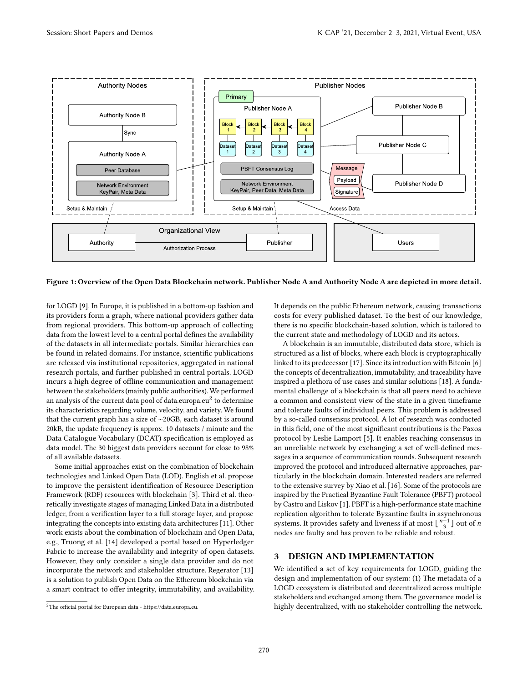<span id="page-1-1"></span>

Figure 1: Overview of the Open Data Blockchain network. Publisher Node A and Authority Node A are depicted in more detail.

for LOGD [\[9\]](#page-3-6). In Europe, it is published in a bottom-up fashion and its providers form a graph, where national providers gather data from regional providers. This bottom-up approach of collecting data from the lowest level to a central portal defines the availability of the datasets in all intermediate portals. Similar hierarchies can be found in related domains. For instance, scientific publications are released via institutional repositories, aggregated in national research portals, and further published in central portals. LOGD incurs a high degree of offline communication and management between the stakeholders (mainly public authorities). We performed an analysis of the current data pool of data. $\operatorname{europa.eu}^2$  $\operatorname{europa.eu}^2$  to  $\operatorname{determine}$ its characteristics regarding volume, velocity, and variety. We found that the current graph has a size of ∼20GB, each dataset is around 20kB, the update frequency is approx. 10 datasets / minute and the Data Catalogue Vocabulary (DCAT) specification is employed as data model. The 30 biggest data providers account for close to 98% of all available datasets.

Some initial approaches exist on the combination of blockchain technologies and Linked Open Data (LOD). English et al. propose to improve the persistent identification of Resource Description Framework (RDF) resources with blockchain [\[3\]](#page-3-7). Third et al. theoretically investigate stages of managing Linked Data in a distributed ledger, from a verification layer to a full storage layer, and propose integrating the concepts into existing data architectures [\[11\]](#page-3-8). Other work exists about the combination of blockchain and Open Data, e.g., Truong et al. [\[14\]](#page-3-9) developed a portal based on Hyperledger Fabric to increase the availability and integrity of open datasets. However, they only consider a single data provider and do not incorporate the network and stakeholder structure. Regerator [\[13\]](#page-3-10) is a solution to publish Open Data on the Ethereum blockchain via a smart contract to offer integrity, immutability, and availability.

It depends on the public Ethereum network, causing transactions costs for every published dataset. To the best of our knowledge, there is no specific blockchain-based solution, which is tailored to the current state and methodology of LOGD and its actors.

A blockchain is an immutable, distributed data store, which is structured as a list of blocks, where each block is cryptographically linked to its predecessor [\[17\]](#page-3-11). Since its introduction with Bitcoin [\[6\]](#page-3-12) the concepts of decentralization, immutability, and traceability have inspired a plethora of use cases and similar solutions [\[18\]](#page-3-13). A fundamental challenge of a blockchain is that all peers need to achieve a common and consistent view of the state in a given timeframe and tolerate faults of individual peers. This problem is addressed by a so-called consensus protocol. A lot of research was conducted in this field, one of the most significant contributions is the Paxos protocol by Leslie Lamport [\[5\]](#page-3-14). It enables reaching consensus in an unreliable network by exchanging a set of well-defined messages in a sequence of communication rounds. Subsequent research improved the protocol and introduced alternative approaches, particularly in the blockchain domain. Interested readers are referred to the extensive survey by Xiao et al. [\[16\]](#page-3-15). Some of the protocols are inspired by the Practical Byzantine Fault Tolerance (PBFT) protocol by Castro and Liskov [\[1\]](#page-3-16). PBFT is a high-performance state machine replication algorithm to tolerate Byzantine faults in asynchronous systems. It provides safety and liveness if at most  $\lfloor \frac{n-1}{3} \rfloor$  out of *n* nodes are faulty and has proven to be reliable and robust.

## 3 DESIGN AND IMPLEMENTATION

We identified a set of key requirements for LOGD, guiding the design and implementation of our system: (1) The metadata of a LOGD ecosystem is distributed and decentralized across multiple stakeholders and exchanged among them. The governance model is highly decentralized, with no stakeholder controlling the network.

<span id="page-1-0"></span><sup>2</sup>The official portal for European data - [https://data.europa.eu.](https://data.europa.eu)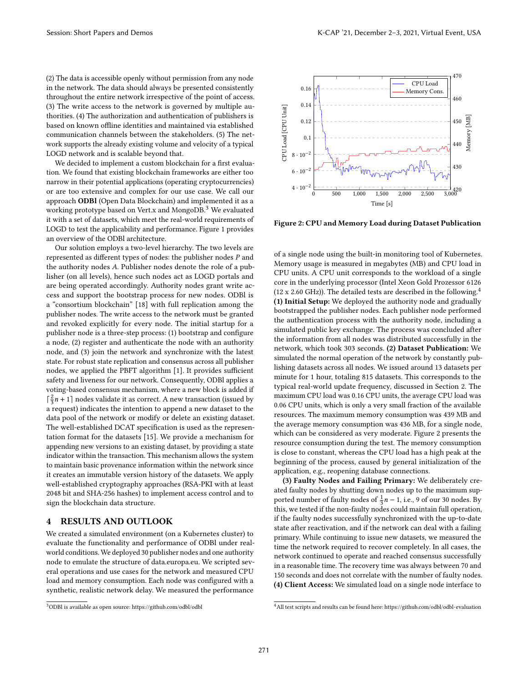(2) The data is accessible openly without permission from any node in the network. The data should always be presented consistently throughout the entire network irrespective of the point of access. (3) The write access to the network is governed by multiple authorities. (4) The authorization and authentication of publishers is based on known offline identities and maintained via established communication channels between the stakeholders. (5) The network supports the already existing volume and velocity of a typical LOGD network and is scalable beyond that.

We decided to implement a custom blockchain for a first evaluation. We found that existing blockchain frameworks are either too narrow in their potential applications (operating cryptocurrencies) or are too extensive and complex for our use case. We call our approach ODBl (Open Data Blockchain) and implemented it as a working prototype based on Vert.x and MongoDB.<sup>[3](#page-2-0)</sup> We evaluated it with a set of datasets, which meet the real-world requirements of LOGD to test the applicability and performance. Figure [1](#page-1-1) provides an overview of the ODBl architecture.

Our solution employs a two-level hierarchy. The two levels are represented as different types of nodes: the publisher nodes  $P$  and the authority nodes A. Publisher nodes denote the role of a publisher (on all levels), hence such nodes act as LOGD portals and are being operated accordingly. Authority nodes grant write access and support the bootstrap process for new nodes. ODBl is a "consortium blockchain" [\[18\]](#page-3-13) with full replication among the publisher nodes. The write access to the network must be granted and revoked explicitly for every node. The initial startup for a publisher node is a three-step process: (1) bootstrap and configure a node, (2) register and authenticate the node with an authority node, and (3) join the network and synchronize with the latest state. For robust state replication and consensus across all publisher nodes, we applied the PBFT algorithm [\[1\]](#page-3-16). It provides sufficient safety and liveness for our network. Consequently, ODBl applies a voting-based consensus mechanism, where a new block is added if  $\lceil \frac{2}{3}n+1 \rceil$  nodes validate it as correct. A new transaction (issued by a request) indicates the intention to append a new dataset to the data pool of the network or modify or delete an existing dataset. The well-established DCAT specification is used as the representation format for the datasets [\[15\]](#page-3-17). We provide a mechanism for appending new versions to an existing dataset, by providing a state indicator within the transaction. This mechanism allows the system to maintain basic provenance information within the network since it creates an immutable version history of the datasets. We apply well-established cryptography approaches (RSA-PKI with at least 2048 bit and SHA-256 hashes) to implement access control and to sign the blockchain data structure.

## 4 RESULTS AND OUTLOOK

We created a simulated environment (on a Kubernetes cluster) to evaluate the functionality and performance of ODBl under realworld conditions. We deployed 30 publisher nodes and one authority node to emulate the structure of data.europa.eu. We scripted several operations and use cases for the network and measured CPU load and memory consumption. Each node was configured with a synthetic, realistic network delay. We measured the performance

<span id="page-2-2"></span>

Figure 2: CPU and Memory Load during Dataset Publication

of a single node using the built-in monitoring tool of Kubernetes. Memory usage is measured in megabytes (MB) and CPU load in CPU units. A CPU unit corresponds to the workload of a single core in the underlying processor (Intel Xeon Gold Prozessor 6126 (12 x 2.60 GHz)). The detailed tests are described in the following.<sup>[4](#page-2-1)</sup> (1) Initial Setup: We deployed the authority node and gradually bootstrapped the publisher nodes. Each publisher node performed the authentication process with the authority node, including a simulated public key exchange. The process was concluded after the information from all nodes was distributed successfully in the network, which took 303 seconds. (2) Dataset Publication: We simulated the normal operation of the network by constantly publishing datasets across all nodes. We issued around 13 datasets per minute for 1 hour, totaling 815 datasets. This corresponds to the typical real-world update frequency, discussed in Section [2.](#page-0-1) The maximum CPU load was 0.16 CPU units, the average CPU load was 0.06 CPU units, which is only a very small fraction of the available resources. The maximum memory consumption was 439 MB and the average memory consumption was 436 MB, for a single node, which can be considered as very moderate. Figure [2](#page-2-2) presents the resource consumption during the test. The memory consumption is close to constant, whereas the CPU load has a high peak at the beginning of the process, caused by general initialization of the application, e.g., reopening database connections.

(3) Faulty Nodes and Failing Primary: We deliberately created faulty nodes by shutting down nodes up to the maximum supported number of faulty nodes of  $\frac{1}{3}n - 1$ , i.e., 9 of our 30 nodes. By this, we tested if the non-faulty nodes could maintain full operation, if the faulty nodes successfully synchronized with the up-to-date state after reactivation, and if the network can deal with a failing primary. While continuing to issue new datasets, we measured the time the network required to recover completely. In all cases, the network continued to operate and reached consensus successfully in a reasonable time. The recovery time was always between 70 and 150 seconds and does not correlate with the number of faulty nodes. (4) Client Access: We simulated load on a single node interface to

<span id="page-2-0"></span><sup>3</sup>ODBl is available as open source:<https://github.com/odbl/odbl>

<span id="page-2-1"></span><sup>4</sup>All test scripts and results can be found here:<https://github.com/odbl/odbl-evaluation>